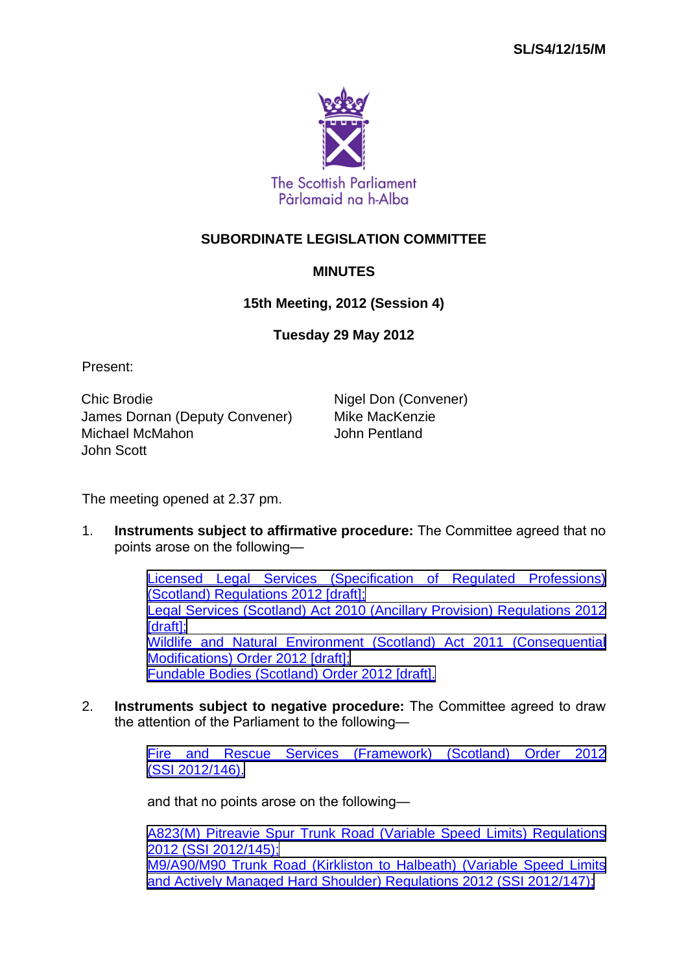

## **SUBORDINATE LEGISLATION COMMITTEE**

## **MINUTES**

## **15th Meeting, 2012 (Session 4)**

## **Tuesday 29 May 2012**

Present:

Chic Brodie Nigel Don (Convener) James Dornan (Deputy Convener) Mike MacKenzie Michael McMahon John Pentland John Scott

The meeting opened at 2.37 pm.

1. **Instruments subject to affirmative procedure:** The Committee agreed that no points arose on the following—

> [Licensed Legal Services \(Specification of Regulated Professions\)](http://www.legislation.gov.uk/sdsi/2012/9780111017128/contents) [\(Scotland\) Regulations 2012 \[draft\];](http://www.legislation.gov.uk/sdsi/2012/9780111017128/contents) [Legal Services \(Scotland\) Act 2010 \(Ancillary Provision\) Regulations 2012](http://www.legislation.gov.uk/sdsi/2012/9780111017111/contents) [\[draft\];](http://www.legislation.gov.uk/sdsi/2012/9780111017111/contents) [Wildlife and Natural Environment \(Scotland\) Act 2011 \(Consequential](http://www.legislation.gov.uk/sdsi/2012/9780111017210/contents) [Modifications\) Order 2012 \[draft\];](http://www.legislation.gov.uk/sdsi/2012/9780111017210/contents) [Fundable Bodies \(Scotland\) Order 2012 \[draft\].](http://www.legislation.gov.uk/sdsi/2012/9780111017227/contents)

2. **Instruments subject to negative procedure:** The Committee agreed to draw the attention of the Parliament to the following—

> [Fire and Rescue Services \(Framework\) \(Scotland\) Order 2012](http://www.legislation.gov.uk/ssi/2012/146/contents/made) [\(SSI 2012/146\).](http://www.legislation.gov.uk/ssi/2012/146/contents/made)

and that no points arose on the following—

[A823\(M\) Pitreavie Spur Trunk Road \(Variable Speed Limits\) Regulations](http://www.legislation.gov.uk/ssi/2012/145/contents/made) [2012 \(SSI 2012/145\);](http://www.legislation.gov.uk/ssi/2012/145/contents/made) [M9/A90/M90 Trunk Road \(Kirkliston to Halbeath\) \(Variable Speed Limits](http://www.legislation.gov.uk/ssi/2012/147/contents/made) [and Actively Managed Hard Shoulder\) Regulations 2012 \(SSI 2012/147\);](http://www.legislation.gov.uk/ssi/2012/147/contents/made)